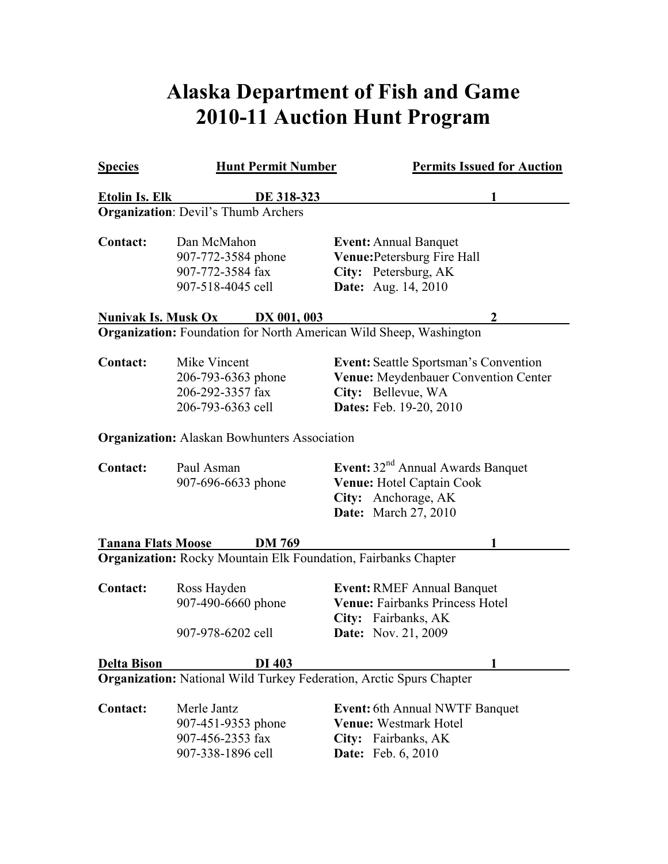## **Alaska Department of Fish and Game 2010-11 Auction Hunt Program**

| <b>Species</b>             | <b>Hunt Permit Number</b>                                                   | <b>Permits Issued for Auction</b>                                                                                                     |
|----------------------------|-----------------------------------------------------------------------------|---------------------------------------------------------------------------------------------------------------------------------------|
| <b>Etolin Is. Elk</b>      | DE 318-323                                                                  |                                                                                                                                       |
|                            | <b>Organization: Devil's Thumb Archers</b>                                  |                                                                                                                                       |
| <b>Contact:</b>            | Dan McMahon<br>907-772-3584 phone<br>907-772-3584 fax<br>907-518-4045 cell  | <b>Event: Annual Banquet</b><br>Venue: Petersburg Fire Hall<br>City: Petersburg, AK<br><b>Date:</b> Aug. 14, 2010                     |
| <u>Nunivak Is. Musk Ox</u> | <b>DX 001, 003</b>                                                          | 2                                                                                                                                     |
|                            | <b>Organization:</b> Foundation for North American Wild Sheep, Washington   |                                                                                                                                       |
| <b>Contact:</b>            | Mike Vincent<br>206-793-6363 phone<br>206-292-3357 fax<br>206-793-6363 cell | <b>Event:</b> Seattle Sportsman's Convention<br>Venue: Meydenbauer Convention Center<br>City: Bellevue, WA<br>Dates: Feb. 19-20, 2010 |
|                            | <b>Organization:</b> Alaskan Bowhunters Association                         |                                                                                                                                       |
| <b>Contact:</b>            | Paul Asman<br>907-696-6633 phone                                            | Event: 32 <sup>nd</sup> Annual Awards Banquet<br><b>Venue: Hotel Captain Cook</b><br>City: Anchorage, AK<br>Date: March 27, 2010      |
| <b>Tanana Flats Moose</b>  | <b>DM 769</b>                                                               |                                                                                                                                       |
|                            | <b>Organization:</b> Rocky Mountain Elk Foundation, Fairbanks Chapter       |                                                                                                                                       |
| <b>Contact:</b>            | Ross Hayden<br>907-490-6660 phone<br>907-978-6202 cell                      | <b>Event: RMEF Annual Banquet</b><br><b>Venue: Fairbanks Princess Hotel</b><br>City: Fairbanks, AK<br><b>Date:</b> Nov. 21, 2009      |
| <b>Delta Bison</b>         | DI 403                                                                      |                                                                                                                                       |
|                            | <b>Organization:</b> National Wild Turkey Federation, Arctic Spurs Chapter  |                                                                                                                                       |
| <b>Contact:</b>            | Merle Jantz<br>907-451-9353 phone<br>907-456-2353 fax<br>907-338-1896 cell  | <b>Event:</b> 6th Annual NWTF Banquet<br>Venue: Westmark Hotel<br>City: Fairbanks, AK<br><b>Date:</b> Feb. 6, 2010                    |